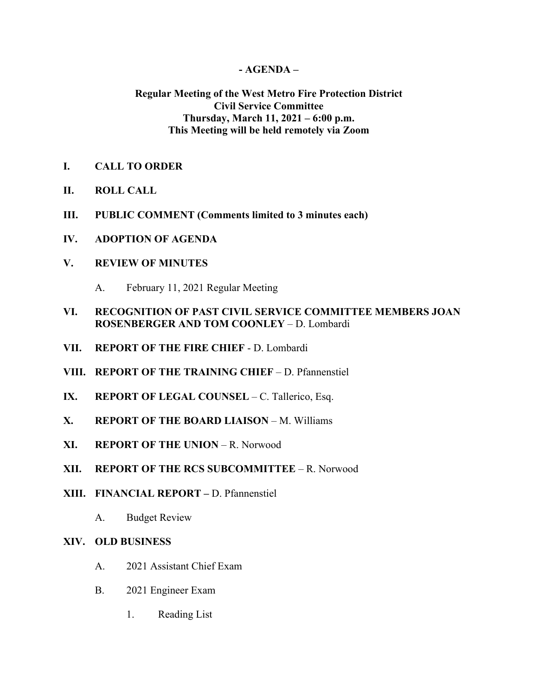## **- AGENDA –**

## **Regular Meeting of the West Metro Fire Protection District Civil Service Committee Thursday, March 11, 2021 – 6:00 p.m. This Meeting will be held remotely via Zoom**

## **I. CALL TO ORDER**

- **II. ROLL CALL**
- **III. PUBLIC COMMENT (Comments limited to 3 minutes each)**
- **IV. ADOPTION OF AGENDA**

## **V. REVIEW OF MINUTES**

- A. February 11, 2021 Regular Meeting
- **VI. RECOGNITION OF PAST CIVIL SERVICE COMMITTEE MEMBERS JOAN ROSENBERGER AND TOM COONLEY** – D. Lombardi
- **VII. REPORT OF THE FIRE CHIEF**  D. Lombardi
- **VIII. REPORT OF THE TRAINING CHIEF** D. Pfannenstiel
- **IX. REPORT OF LEGAL COUNSEL** C. Tallerico, Esq.
- **X. REPORT OF THE BOARD LIAISON** M. Williams
- **XI. REPORT OF THE UNION** R. Norwood
- **XII. REPORT OF THE RCS SUBCOMMITTEE** R. Norwood
- **XIII. FINANCIAL REPORT –** D. Pfannenstiel
	- A. Budget Review

## **XIV. OLD BUSINESS**

- A. 2021 Assistant Chief Exam
- B. 2021 Engineer Exam
	- 1. Reading List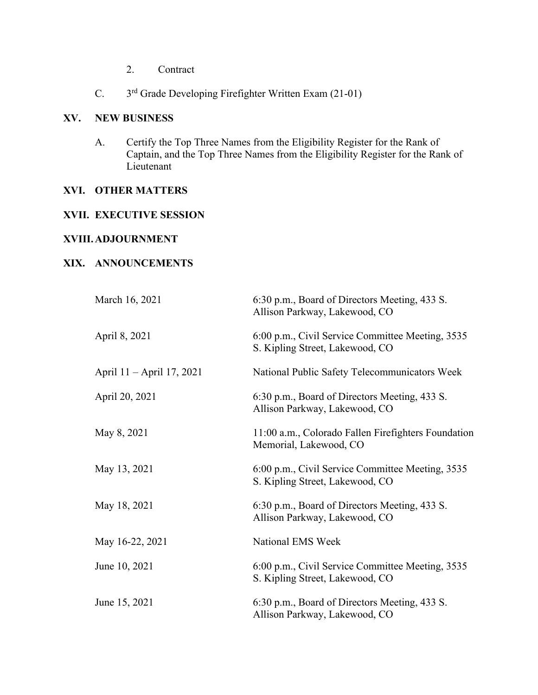- 2. Contract
- C. 3rd Grade Developing Firefighter Written Exam (21-01)

## **XV. NEW BUSINESS**

A. Certify the Top Three Names from the Eligibility Register for the Rank of Captain, and the Top Three Names from the Eligibility Register for the Rank of Lieutenant

#### **XVI. OTHER MATTERS**

# **XVII. EXECUTIVE SESSION**

## **XVIII.ADJOURNMENT**

## **XIX. ANNOUNCEMENTS**

| March 16, 2021            | 6:30 p.m., Board of Directors Meeting, 433 S.<br>Allison Parkway, Lakewood, CO      |
|---------------------------|-------------------------------------------------------------------------------------|
| April 8, 2021             | 6:00 p.m., Civil Service Committee Meeting, 3535<br>S. Kipling Street, Lakewood, CO |
| April 11 – April 17, 2021 | National Public Safety Telecommunicators Week                                       |
| April 20, 2021            | 6:30 p.m., Board of Directors Meeting, 433 S.<br>Allison Parkway, Lakewood, CO      |
| May 8, 2021               | 11:00 a.m., Colorado Fallen Firefighters Foundation<br>Memorial, Lakewood, CO       |
| May 13, 2021              | 6:00 p.m., Civil Service Committee Meeting, 3535<br>S. Kipling Street, Lakewood, CO |
| May 18, 2021              | 6:30 p.m., Board of Directors Meeting, 433 S.<br>Allison Parkway, Lakewood, CO      |
| May 16-22, 2021           | National EMS Week                                                                   |
| June 10, 2021             | 6:00 p.m., Civil Service Committee Meeting, 3535<br>S. Kipling Street, Lakewood, CO |
| June 15, 2021             | 6:30 p.m., Board of Directors Meeting, 433 S.<br>Allison Parkway, Lakewood, CO      |